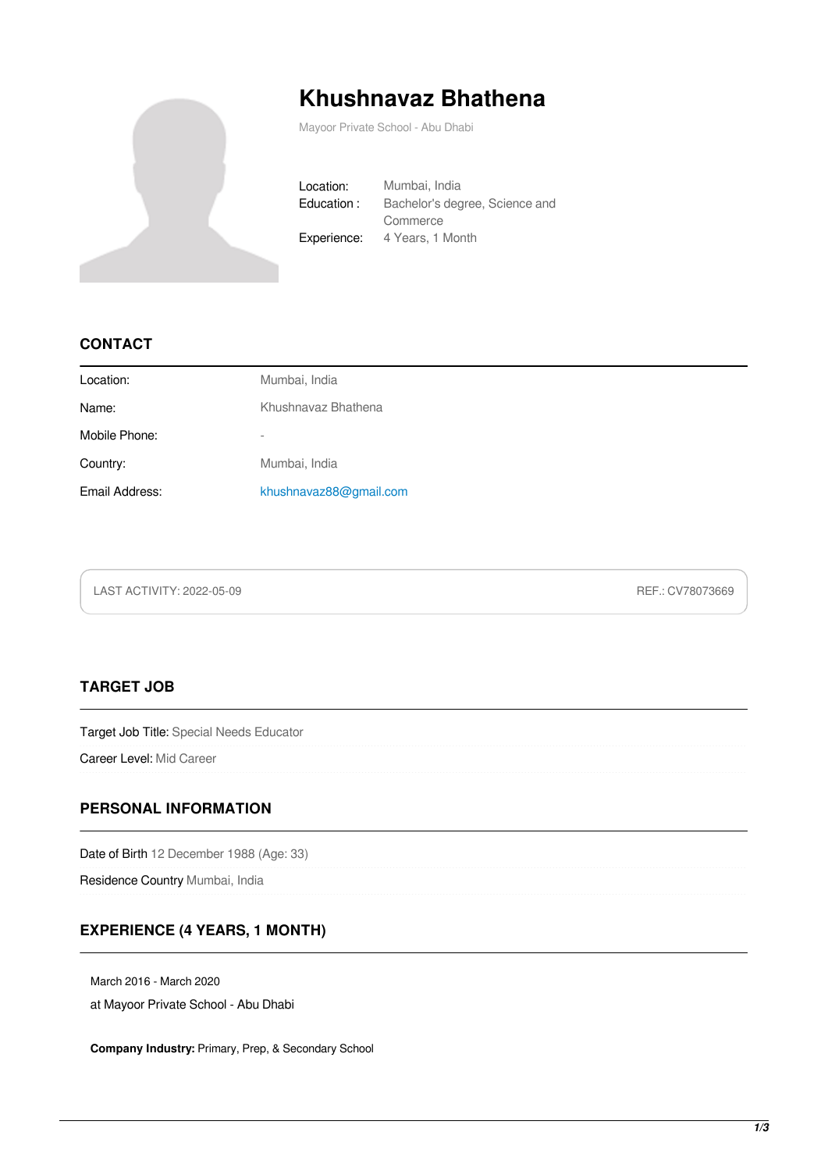

# **Khushnavaz Bhathena**

Mayoor Private School - Abu Dhabi

Location: Mumbai, India Education : Bachelor's degree, Science and Commerce Experience: 4 Years, 1 Month

#### **CONTACT**

| Location:      | Mumbai, India            |
|----------------|--------------------------|
| Name:          | Khushnavaz Bhathena      |
| Mobile Phone:  | $\overline{\phantom{a}}$ |
| Country:       | Mumbai, India            |
| Email Address: | khushnavaz88@gmail.com   |

LAST ACTIVITY: 2022-05-09 REF.: CV78073669

### **TARGET JOB**

Target Job Title: Special Needs Educator

Career Level: Mid Career

#### **PERSONAL INFORMATION**

Date of Birth 12 December 1988 (Age: 33)

Residence Country Mumbai, India

#### **EXPERIENCE (4 YEARS, 1 MONTH)**

March 2016 - March 2020

at Mayoor Private School - Abu Dhabi

**Company Industry:** Primary, Prep, & Secondary School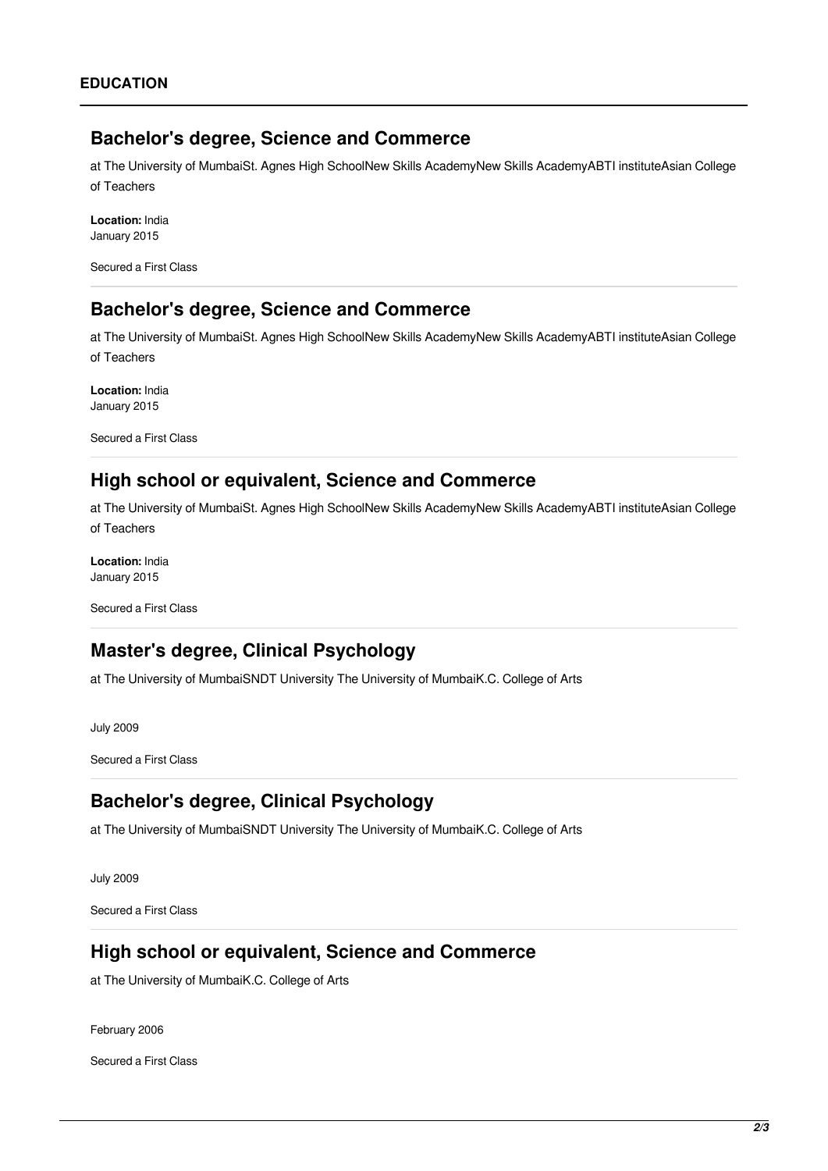## **Bachelor's degree, Science and Commerce**

at The University of MumbaiSt. Agnes High SchoolNew Skills AcademyNew Skills AcademyABTI instituteAsian College of Teachers

**Location:** India January 2015

Secured a First Class

## **Bachelor's degree, Science and Commerce**

at The University of MumbaiSt. Agnes High SchoolNew Skills AcademyNew Skills AcademyABTI instituteAsian College of Teachers

**Location:** India January 2015

Secured a First Class

## **High school or equivalent, Science and Commerce**

at The University of MumbaiSt. Agnes High SchoolNew Skills AcademyNew Skills AcademyABTI instituteAsian College of Teachers

**Location:** India January 2015

Secured a First Class

# **Master's degree, Clinical Psychology**

at The University of MumbaiSNDT University The University of MumbaiK.C. College of Arts

July 2009

Secured a First Class

## **Bachelor's degree, Clinical Psychology**

at The University of MumbaiSNDT University The University of MumbaiK.C. College of Arts

July 2009

Secured a First Class

## **High school or equivalent, Science and Commerce**

at The University of MumbaiK.C. College of Arts

February 2006

Secured a First Class